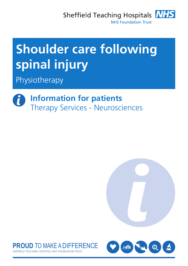Sheffield Teaching Hospitals **NHS NHS Foundation Trust** 



Physiotherapy

**Information for patients** Therapy Services - Neurosciences





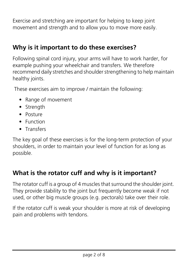Exercise and stretching are important for helping to keep joint movement and strength and to allow you to move more easily.

## **Why is it important to do these exercises?**

Following spinal cord injury, your arms will have to work harder, for example pushing your wheelchair and transfers. We therefore recommend daily stretches and shoulder strengthening to help maintain healthy joints.

These exercises aim to improve / maintain the following:

- Range of movement
- Strength
- Posture
- Function
- Transfers

The key goal of these exercises is for the long-term protection of your shoulders, in order to maintain your level of function for as long as possible.

## **What is the rotator cuff and why is it important?**

The rotator cuff is a group of 4 muscles that surround the shoulder joint. They provide stability to the joint but frequently become weak if not used, or other big muscle groups (e.g. pectorals) take over their role.

If the rotator cuff is weak your shoulder is more at risk of developing pain and problems with tendons.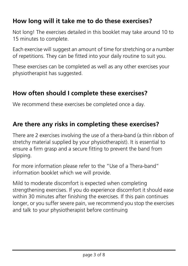## **How long will it take me to do these exercises?**

Not long! The exercises detailed in this booklet may take around 10 to 15 minutes to complete.

Each exercise will suggest an amount of time for stretching or a number of repetitions. They can be fitted into your daily routine to suit you.

These exercises can be completed as well as any other exercises your physiotherapist has suggested.

## **How often should I complete these exercises?**

We recommend these exercises be completed once a day.

#### **Are there any risks in completing these exercises?**

There are 2 exercises involving the use of a thera-band (a thin ribbon of stretchy material supplied by your physiotherapist). It is essential to ensure a firm grasp and a secure fitting to prevent the band from slipping.

For more information please refer to the "Use of a Thera-band" information booklet which we will provide.

Mild to moderate discomfort is expected when completing strengthening exercises. If you do experience discomfort it should ease within 30 minutes after finishing the exercises. If this pain continues longer, or you suffer severe pain, we recommend you stop the exercises and talk to your physiotherapist before continuing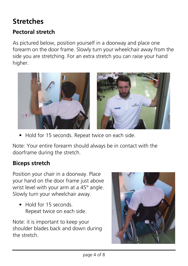# **Stretches**

### **Pectoral stretch**

As pictured below, position yourself in a doorway and place one forearm on the door frame. Slowly turn your wheelchair away from the side you are stretching. For an extra stretch you can raise your hand higher.



• Hold for 15 seconds. Repeat twice on each side.

Note: Your entire forearm should always be in contact with the doorframe during the stretch.

#### **Biceps stretch**

Position your chair in a doorway. Place your hand on the door frame just above wrist level with your arm at a 45° angle. Slowly turn your wheelchair away.

• Hold for 15 seconds Repeat twice on each side.

Note: it is important to keep your shoulder blades back and down during the stretch.

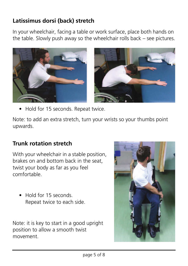## **Latissimus dorsi (back) stretch**

In your wheelchair, facing a table or work surface, place both hands on the table. Slowly push away so the wheelchair rolls back – see pictures.



• Hold for 15 seconds. Repeat twice.

Note: to add an extra stretch, turn your wrists so your thumbs point upwards.

#### **Trunk rotation stretch**

With your wheelchair in a stable position, brakes on and bottom back in the seat, twist your body as far as you feel comfortable.

• Hold for 15 seconds. Repeat twice to each side.

Note: it is key to start in a good upright position to allow a smooth twist movement.

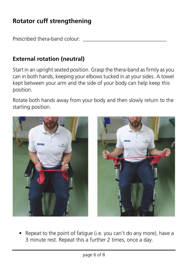## **Rotator cuff strengthening**

Prescribed thera-band colour:

#### **External rotation (neutral)**

Start in an upright seated position. Grasp the thera-band as firmly as you can in both hands, keeping your elbows tucked in at your sides. A towel kept between your arm and the side of your body can help keep this position.

Rotate both hands away from your body and then slowly return to the starting position.



• Repeat to the point of fatigue (i.e. you can't do any more), have a 3 minute rest. Repeat this a further 2 times, once a day.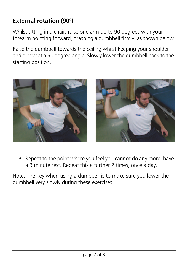### **External rotation (90°)**

Whilst sitting in a chair, raise one arm up to 90 degrees with your forearm pointing forward, grasping a dumbbell firmly, as shown below.

Raise the dumbbell towards the ceiling whilst keeping your shoulder and elbow at a 90 degree angle. Slowly lower the dumbbell back to the starting position.



• Repeat to the point where you feel you cannot do any more, have a 3 minute rest. Repeat this a further 2 times, once a day.

Note: The key when using a dumbbell is to make sure you lower the dumbbell very slowly during these exercises.